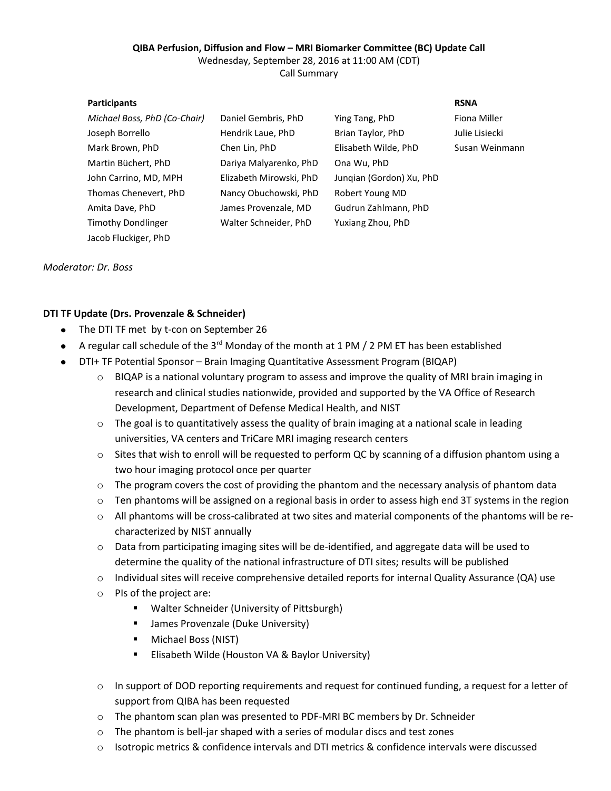### **QIBA Perfusion, Diffusion and Flow – MRI Biomarker Committee (BC) Update Call** Wednesday, September 28, 2016 at 11:00 AM (CDT) Call Summary

| <b>Participants</b>          |                         |                          | <b>RSNA</b>    |
|------------------------------|-------------------------|--------------------------|----------------|
| Michael Boss, PhD (Co-Chair) | Daniel Gembris, PhD     | Ying Tang, PhD           | Fiona Miller   |
| Joseph Borrello              | Hendrik Laue, PhD       | Brian Taylor, PhD        | Julie Lisiecki |
| Mark Brown, PhD              | Chen Lin, PhD           | Elisabeth Wilde, PhD     | Susan Weinmann |
| Martin Büchert, PhD          | Dariya Malyarenko, PhD  | Ona Wu, PhD              |                |
| John Carrino, MD, MPH        | Elizabeth Mirowski, PhD | Jungian (Gordon) Xu, PhD |                |
| Thomas Chenevert, PhD        | Nancy Obuchowski, PhD   | Robert Young MD          |                |
| Amita Dave, PhD              | James Provenzale, MD    | Gudrun Zahlmann, PhD     |                |
| <b>Timothy Dondlinger</b>    | Walter Schneider, PhD   | Yuxiang Zhou, PhD        |                |
| Jacob Fluckiger, PhD         |                         |                          |                |

*Moderator: Dr. Boss*

# **DTI TF Update (Drs. Provenzale & Schneider)**

- The DTI TF met by t-con on September 26
- A regular call schedule of the 3<sup>rd</sup> Monday of the month at 1 PM / 2 PM ET has been established
- DTI+ TF Potential Sponsor Brain Imaging Quantitative Assessment Program (BIQAP)
	- $\circ$  BIQAP is a national voluntary program to assess and improve the quality of MRI brain imaging in research and clinical studies nationwide, provided and supported by the VA Office of Research Development, Department of Defense Medical Health, and NIST
	- $\circ$  The goal is to quantitatively assess the quality of brain imaging at a national scale in leading universities, VA centers and TriCare MRI imaging research centers
	- o Sites that wish to enroll will be requested to perform QC by scanning of a diffusion phantom using a two hour imaging protocol once per quarter
	- o The program covers the cost of providing the phantom and the necessary analysis of phantom data
	- $\circ$  Ten phantoms will be assigned on a regional basis in order to assess high end 3T systems in the region
	- o All phantoms will be cross-calibrated at two sites and material components of the phantoms will be recharacterized by NIST annually
	- o Data from participating imaging sites will be de-identified, and aggregate data will be used to determine the quality of the national infrastructure of DTI sites; results will be published
	- o Individual sites will receive comprehensive detailed reports for internal Quality Assurance (QA) use
	- o PIs of the project are:
		- Walter Schneider (University of Pittsburgh)
		- **James Provenzale (Duke University)**
		- **Michael Boss (NIST)**
		- **Elisabeth Wilde (Houston VA & Baylor University)**
	- o In support of DOD reporting requirements and request for continued funding, a request for a letter of support from QIBA has been requested
	- o The phantom scan plan was presented to PDF-MRI BC members by Dr. Schneider
	- The phantom is bell-jar shaped with a series of modular discs and test zones
	- o Isotropic metrics & confidence intervals and DTI metrics & confidence intervals were discussed